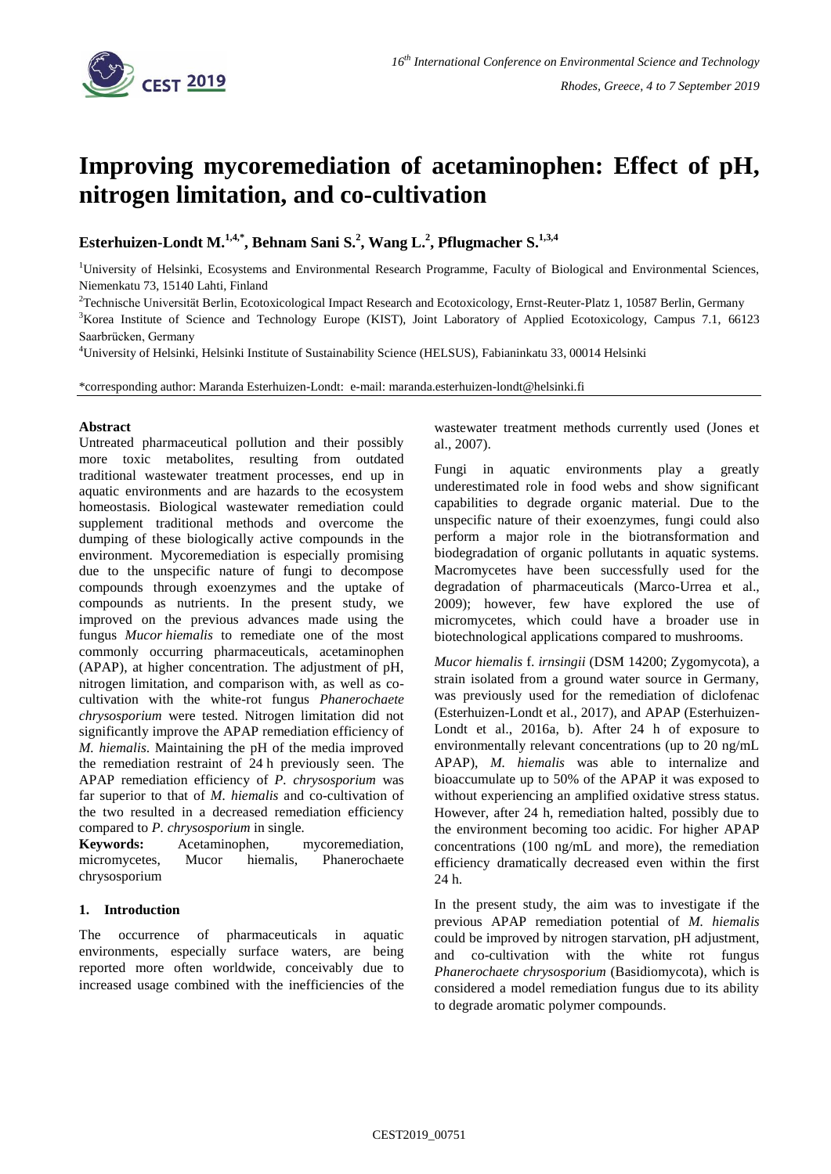

# **Improving mycoremediation of acetaminophen: Effect of pH, nitrogen limitation, and co-cultivation**

**Esterhuizen-Londt M. 1,4,\* , Behnam Sani S. 2 , Wang L. 2 , Pflugmacher S. 1,3,4**

<sup>1</sup>University of Helsinki, Ecosystems and Environmental Research Programme, Faculty of Biological and Environmental Sciences, Niemenkatu 73, 15140 Lahti, Finland

<sup>2</sup>Technische Universität Berlin, Ecotoxicological Impact Research and Ecotoxicology, Ernst-Reuter-Platz 1, 10587 Berlin, Germany

<sup>3</sup>Korea Institute of Science and Technology Europe (KIST), Joint Laboratory of Applied Ecotoxicology, Campus 7.1, 66123 Saarbrücken, Germany

<sup>4</sup>University of Helsinki, Helsinki Institute of Sustainability Science (HELSUS), Fabianinkatu 33, 00014 Helsinki

\*corresponding author: Maranda Esterhuizen-Londt: e-mail: maranda.esterhuizen-londt@helsinki.fi

## **Abstract**

Untreated pharmaceutical pollution and their possibly more toxic metabolites, resulting from outdated traditional wastewater treatment processes, end up in aquatic environments and are hazards to the ecosystem homeostasis. Biological wastewater remediation could supplement traditional methods and overcome the dumping of these biologically active compounds in the environment. Mycoremediation is especially promising due to the unspecific nature of fungi to decompose compounds through exoenzymes and the uptake of compounds as nutrients. In the present study, we improved on the previous advances made using the fungus *Mucor hiemalis* to remediate one of the most commonly occurring pharmaceuticals, acetaminophen (APAP), at higher concentration. The adjustment of pH, nitrogen limitation, and comparison with, as well as cocultivation with the white-rot fungus *Phanerochaete chrysosporium* were tested. Nitrogen limitation did not significantly improve the APAP remediation efficiency of *M. hiemalis*. Maintaining the pH of the media improved the remediation restraint of 24 h previously seen. The APAP remediation efficiency of *P. chrysosporium* was far superior to that of *M. hiemalis* and co-cultivation of the two resulted in a decreased remediation efficiency compared to *P. chrysosporium* in single*.*

**Keywords:** Acetaminophen, mycoremediation, micromycetes, Mucor hiemalis, Phanerochaete chrysosporium

## **1. Introduction**

The occurrence of pharmaceuticals in aquatic environments, especially surface waters, are being reported more often worldwide, conceivably due to increased usage combined with the inefficiencies of the wastewater treatment methods currently used (Jones et al., 2007).

Fungi in aquatic environments play a greatly underestimated role in food webs and show significant capabilities to degrade organic material. Due to the unspecific nature of their exoenzymes, fungi could also perform a major role in the biotransformation and biodegradation of organic pollutants in aquatic systems. Macromycetes have been successfully used for the degradation of pharmaceuticals (Marco-Urrea et al., 2009); however, few have explored the use of micromycetes, which could have a broader use in biotechnological applications compared to mushrooms.

*Mucor hiemalis* f. *irnsingii* (DSM 14200; Zygomycota), a strain isolated from a ground water source in Germany, was previously used for the remediation of diclofenac (Esterhuizen-Londt et al., 2017), and APAP (Esterhuizen-Londt et al., 2016a, b). After 24 h of exposure to environmentally relevant concentrations (up to 20 ng/mL APAP), *M. hiemalis* was able to internalize and bioaccumulate up to 50% of the APAP it was exposed to without experiencing an amplified oxidative stress status. However, after 24 h, remediation halted, possibly due to the environment becoming too acidic. For higher APAP concentrations (100 ng/mL and more), the remediation efficiency dramatically decreased even within the first 24 h.

In the present study, the aim was to investigate if the previous APAP remediation potential of *M. hiemalis* could be improved by nitrogen starvation, pH adjustment, and co-cultivation with the white rot fungus *Phanerochaete chrysosporium* (Basidiomycota), which is considered a model remediation fungus due to its ability to degrade aromatic polymer compounds.